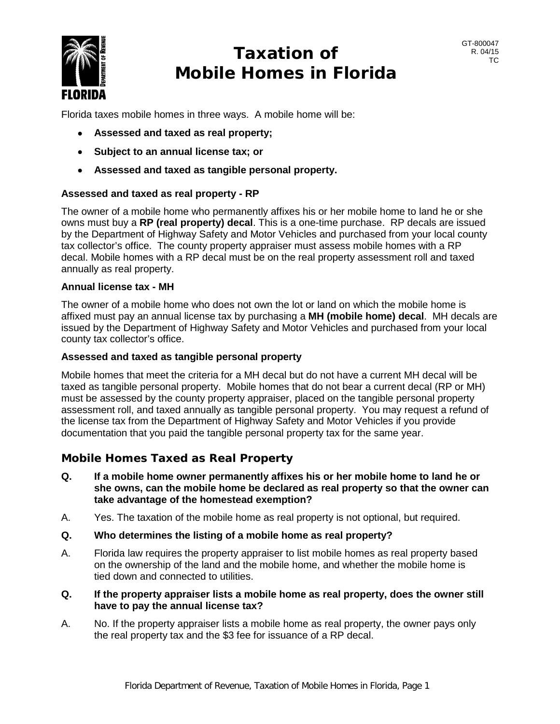

# **Taxation of Mobile Homes in Florida**

Florida taxes mobile homes in three ways. A mobile home will be:

- **Assessed and taxed as real property;**
- **Subject to an annual license tax; or**
- **Assessed and taxed as tangible personal property.**

# **Assessed and taxed as real property - RP**

The owner of a mobile home who permanently affixes his or her mobile home to land he or she owns must buy a **RP (real property) decal**. This is a one-time purchase. RP decals are issued by the Department of Highway Safety and Motor Vehicles and purchased from your local county tax collector's office. The county property appraiser must assess mobile homes with a RP decal. Mobile homes with a RP decal must be on the real property assessment roll and taxed annually as real property.

# **Annual license tax - MH**

The owner of a mobile home who does not own the lot or land on which the mobile home is affixed must pay an annual license tax by purchasing a **MH (mobile home) decal**. MH decals are issued by the Department of Highway Safety and Motor Vehicles and purchased from your local county tax collector's office.

# **Assessed and taxed as tangible personal property**

Mobile homes that meet the criteria for a MH decal but do not have a current MH decal will be taxed as tangible personal property. Mobile homes that do not bear a current decal (RP or MH) must be assessed by the county property appraiser, placed on the tangible personal property assessment roll, and taxed annually as tangible personal property. You may request a refund of the license tax from the Department of Highway Safety and Motor Vehicles if you provide documentation that you paid the tangible personal property tax for the same year.

# **Mobile Homes Taxed as Real Property**

- **Q. If a mobile home owner permanently affixes his or her mobile home to land he or she owns, can the mobile home be declared as real property so that the owner can take advantage of the homestead exemption?**
- A. Yes. The taxation of the mobile home as real property is not optional, but required.
- **Q. Who determines the listing of a mobile home as real property?**
- A. Florida law requires the property appraiser to list mobile homes as real property based on the ownership of the land and the mobile home, and whether the mobile home is tied down and connected to utilities.
- **Q. If the property appraiser lists a mobile home as real property, does the owner still have to pay the annual license tax?**
- A. No. If the property appraiser lists a mobile home as real property, the owner pays only the real property tax and the \$3 fee for issuance of a RP decal.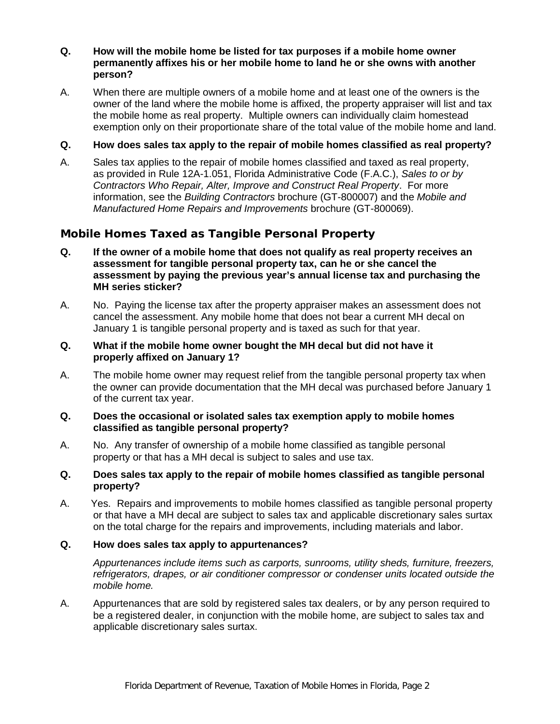## **Q. How will the mobile home be listed for tax purposes if a mobile home owner permanently affixes his or her mobile home to land he or she owns with another person?**

A. When there are multiple owners of a mobile home and at least one of the owners is the owner of the land where the mobile home is affixed, the property appraiser will list and tax the mobile home as real property. Multiple owners can individually claim homestead exemption only on their proportionate share of the total value of the mobile home and land.

# **Q. How does sales tax apply to the repair of mobile homes classified as real property?**

A. Sales tax applies to the repair of mobile homes classified and taxed as real property, as provided in Rule 12A-1.051, Florida Administrative Code (F.A.C.), *Sales to or by Contractors Who Repair, Alter, Improve and Construct Real Property*. For more information, see the *Building Contractors* brochure (GT-800007) and the *Mobile and Manufactured Home Repairs and Improvements* brochure (GT-800069).

# **Mobile Homes Taxed as Tangible Personal Property**

- **Q. If the owner of a mobile home that does not qualify as real property receives an assessment for tangible personal property tax, can he or she cancel the assessment by paying the previous year's annual license tax and purchasing the MH series sticker?**
- A. No. Paying the license tax after the property appraiser makes an assessment does not cancel the assessment. Any mobile home that does not bear a current MH decal on January 1 is tangible personal property and is taxed as such for that year.

#### **Q. What if the mobile home owner bought the MH decal but did not have it properly affixed on January 1?**

A. The mobile home owner may request relief from the tangible personal property tax when the owner can provide documentation that the MH decal was purchased before January 1 of the current tax year.

#### **Q. Does the occasional or isolated sales tax exemption apply to mobile homes classified as tangible personal property?**

A. No. Any transfer of ownership of a mobile home classified as tangible personal property or that has a MH decal is subject to sales and use tax.

#### **Q. Does sales tax apply to the repair of mobile homes classified as tangible personal property?**

A. Yes. Repairs and improvements to mobile homes classified as tangible personal property or that have a MH decal are subject to sales tax and applicable discretionary sales surtax on the total charge for the repairs and improvements, including materials and labor.

#### **Q. How does sales tax apply to appurtenances?**

*Appurtenances include items such as carports, sunrooms, utility sheds, furniture, freezers, refrigerators, drapes, or air conditioner compressor or condenser units located outside the mobile home.*

A. Appurtenances that are sold by registered sales tax dealers, or by any person required to be a registered dealer, in conjunction with the mobile home, are subject to sales tax and applicable discretionary sales surtax.